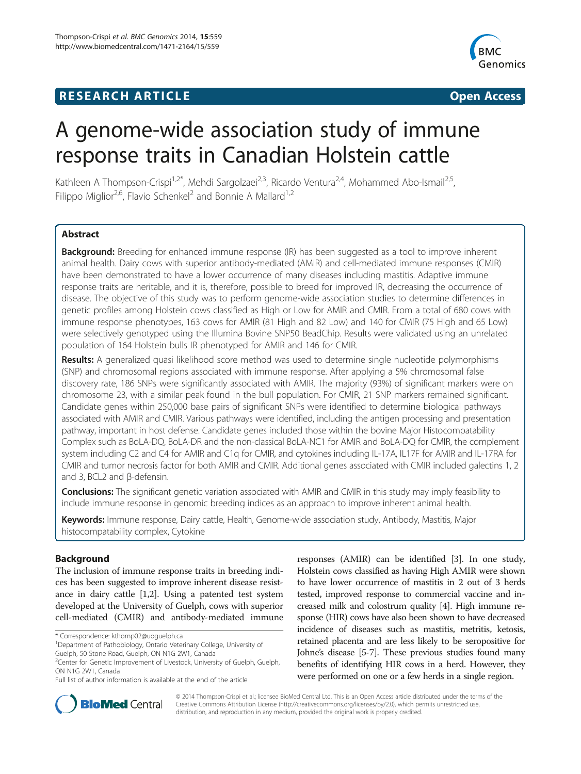# **RESEARCH ARTICLE Example 2014 The SEAR CH ACCESS**



# A genome-wide association study of immune response traits in Canadian Holstein cattle

Kathleen A Thompson-Crispi<sup>1,2\*</sup>, Mehdi Sargolzaei<sup>2,3</sup>, Ricardo Ventura<sup>2,4</sup>, Mohammed Abo-Ismail<sup>2,5</sup>, Filippo Miglior<sup>2,6</sup>, Flavio Schenkel<sup>2</sup> and Bonnie A Mallard<sup>1,2</sup>

# **Abstract**

**Background:** Breeding for enhanced immune response (IR) has been suggested as a tool to improve inherent animal health. Dairy cows with superior antibody-mediated (AMIR) and cell-mediated immune responses (CMIR) have been demonstrated to have a lower occurrence of many diseases including mastitis. Adaptive immune response traits are heritable, and it is, therefore, possible to breed for improved IR, decreasing the occurrence of disease. The objective of this study was to perform genome-wide association studies to determine differences in genetic profiles among Holstein cows classified as High or Low for AMIR and CMIR. From a total of 680 cows with immune response phenotypes, 163 cows for AMIR (81 High and 82 Low) and 140 for CMIR (75 High and 65 Low) were selectively genotyped using the Illumina Bovine SNP50 BeadChip. Results were validated using an unrelated population of 164 Holstein bulls IR phenotyped for AMIR and 146 for CMIR.

**Results:** A generalized quasi likelihood score method was used to determine single nucleotide polymorphisms (SNP) and chromosomal regions associated with immune response. After applying a 5% chromosomal false discovery rate, 186 SNPs were significantly associated with AMIR. The majority (93%) of significant markers were on chromosome 23, with a similar peak found in the bull population. For CMIR, 21 SNP markers remained significant. Candidate genes within 250,000 base pairs of significant SNPs were identified to determine biological pathways associated with AMIR and CMIR. Various pathways were identified, including the antigen processing and presentation pathway, important in host defense. Candidate genes included those within the bovine Major Histocompatability Complex such as BoLA-DQ, BoLA-DR and the non-classical BoLA-NC1 for AMIR and BoLA-DQ for CMIR, the complement system including C2 and C4 for AMIR and C1q for CMIR, and cytokines including IL-17A, IL17F for AMIR and IL-17RA for CMIR and tumor necrosis factor for both AMIR and CMIR. Additional genes associated with CMIR included galectins 1, 2 and 3, BCL2 and β-defensin.

**Conclusions:** The significant genetic variation associated with AMIR and CMIR in this study may imply feasibility to include immune response in genomic breeding indices as an approach to improve inherent animal health.

Keywords: Immune response, Dairy cattle, Health, Genome-wide association study, Antibody, Mastitis, Major histocompatability complex, Cytokine

# Background

The inclusion of immune response traits in breeding indices has been suggested to improve inherent disease resistance in dairy cattle [\[1,2](#page-8-0)]. Using a patented test system developed at the University of Guelph, cows with superior cell-mediated (CMIR) and antibody-mediated immune

responses (AMIR) can be identified [[3](#page-8-0)]. In one study, Holstein cows classified as having High AMIR were shown to have lower occurrence of mastitis in 2 out of 3 herds tested, improved response to commercial vaccine and increased milk and colostrum quality [[4\]](#page-8-0). High immune response (HIR) cows have also been shown to have decreased incidence of diseases such as mastitis, metritis, ketosis, retained placenta and are less likely to be seropositive for Johne's disease [\[5-7\]](#page-8-0). These previous studies found many benefits of identifying HIR cows in a herd. However, they were performed on one or a few herds in a single region.



© 2014 Thompson-Crispi et al.; licensee BioMed Central Ltd. This is an Open Access article distributed under the terms of the Creative Commons Attribution License (<http://creativecommons.org/licenses/by/2.0>), which permits unrestricted use, distribution, and reproduction in any medium, provided the original work is properly credited.

<sup>\*</sup> Correspondence: [kthomp02@uoguelph.ca](mailto:kthomp02@uoguelph.ca) <sup>1</sup>

<sup>&</sup>lt;sup>1</sup>Department of Pathobiology, Ontario Veterinary College, University of

Guelph, 50 Stone Road, Guelph, ON N1G 2W1, Canada <sup>2</sup>Center for Genetic Improvement of Livestock, University of Guelph, Guelph,

ON N1G 2W1, Canada

Full list of author information is available at the end of the article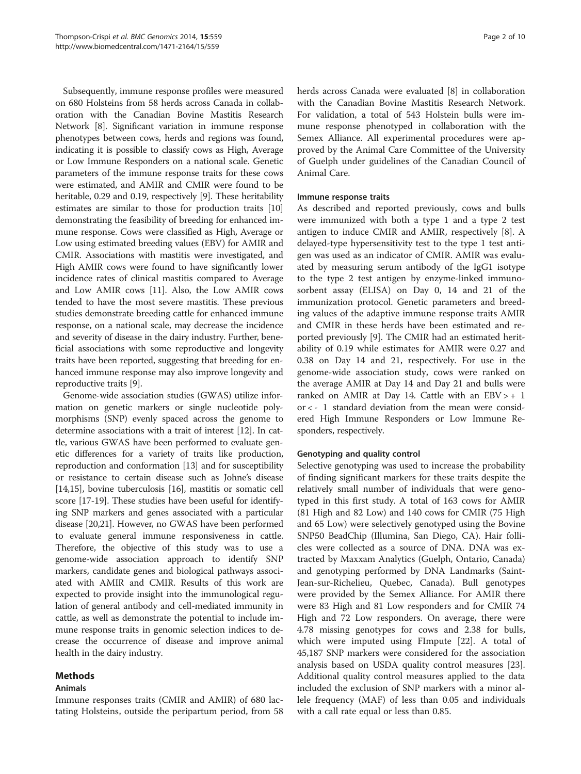Subsequently, immune response profiles were measured on 680 Holsteins from 58 herds across Canada in collaboration with the Canadian Bovine Mastitis Research Network [\[8](#page-8-0)]. Significant variation in immune response phenotypes between cows, herds and regions was found, indicating it is possible to classify cows as High, Average or Low Immune Responders on a national scale. Genetic parameters of the immune response traits for these cows were estimated, and AMIR and CMIR were found to be heritable, 0.29 and 0.19, respectively [[9\]](#page-8-0). These heritability estimates are similar to those for production traits [[10](#page-8-0)] demonstrating the feasibility of breeding for enhanced immune response. Cows were classified as High, Average or Low using estimated breeding values (EBV) for AMIR and CMIR. Associations with mastitis were investigated, and High AMIR cows were found to have significantly lower incidence rates of clinical mastitis compared to Average and Low AMIR cows [\[11\]](#page-8-0). Also, the Low AMIR cows tended to have the most severe mastitis. These previous studies demonstrate breeding cattle for enhanced immune response, on a national scale, may decrease the incidence and severity of disease in the dairy industry. Further, beneficial associations with some reproductive and longevity traits have been reported, suggesting that breeding for enhanced immune response may also improve longevity and reproductive traits [\[9\]](#page-8-0).

Genome-wide association studies (GWAS) utilize information on genetic markers or single nucleotide polymorphisms (SNP) evenly spaced across the genome to determine associations with a trait of interest [[12\]](#page-8-0). In cattle, various GWAS have been performed to evaluate genetic differences for a variety of traits like production, reproduction and conformation [\[13](#page-8-0)] and for susceptibility or resistance to certain disease such as Johne's disease [[14,15](#page-8-0)], bovine tuberculosis [[16](#page-8-0)], mastitis or somatic cell score [[17](#page-8-0)-[19\]](#page-8-0). These studies have been useful for identifying SNP markers and genes associated with a particular disease [[20,21](#page-8-0)]. However, no GWAS have been performed to evaluate general immune responsiveness in cattle. Therefore, the objective of this study was to use a genome-wide association approach to identify SNP markers, candidate genes and biological pathways associated with AMIR and CMIR. Results of this work are expected to provide insight into the immunological regulation of general antibody and cell-mediated immunity in cattle, as well as demonstrate the potential to include immune response traits in genomic selection indices to decrease the occurrence of disease and improve animal health in the dairy industry.

# Methods

# Animals

Immune responses traits (CMIR and AMIR) of 680 lactating Holsteins, outside the peripartum period, from 58 herds across Canada were evaluated [[8\]](#page-8-0) in collaboration with the Canadian Bovine Mastitis Research Network. For validation, a total of 543 Holstein bulls were immune response phenotyped in collaboration with the Semex Alliance. All experimental procedures were approved by the Animal Care Committee of the University of Guelph under guidelines of the Canadian Council of Animal Care.

# Immune response traits

As described and reported previously, cows and bulls were immunized with both a type 1 and a type 2 test antigen to induce CMIR and AMIR, respectively [\[8](#page-8-0)]. A delayed-type hypersensitivity test to the type 1 test antigen was used as an indicator of CMIR. AMIR was evaluated by measuring serum antibody of the IgG1 isotype to the type 2 test antigen by enzyme-linked immunosorbent assay (ELISA) on Day 0, 14 and 21 of the immunization protocol. Genetic parameters and breeding values of the adaptive immune response traits AMIR and CMIR in these herds have been estimated and reported previously [\[9](#page-8-0)]. The CMIR had an estimated heritability of 0.19 while estimates for AMIR were 0.27 and 0.38 on Day 14 and 21, respectively. For use in the genome-wide association study, cows were ranked on the average AMIR at Day 14 and Day 21 and bulls were ranked on AMIR at Day 14. Cattle with an  $EBV > + 1$ or < - 1 standard deviation from the mean were considered High Immune Responders or Low Immune Responders, respectively.

# Genotyping and quality control

Selective genotyping was used to increase the probability of finding significant markers for these traits despite the relatively small number of individuals that were genotyped in this first study. A total of 163 cows for AMIR (81 High and 82 Low) and 140 cows for CMIR (75 High and 65 Low) were selectively genotyped using the Bovine SNP50 BeadChip (Illumina, San Diego, CA). Hair follicles were collected as a source of DNA. DNA was extracted by Maxxam Analytics (Guelph, Ontario, Canada) and genotyping performed by DNA Landmarks (Saint-Jean-sur-Richelieu, Quebec, Canada). Bull genotypes were provided by the Semex Alliance. For AMIR there were 83 High and 81 Low responders and for CMIR 74 High and 72 Low responders. On average, there were 4.78 missing genotypes for cows and 2.38 for bulls, which were imputed using FImpute [\[22\]](#page-8-0). A total of 45,187 SNP markers were considered for the association analysis based on USDA quality control measures [\[23](#page-8-0)]. Additional quality control measures applied to the data included the exclusion of SNP markers with a minor allele frequency (MAF) of less than 0.05 and individuals with a call rate equal or less than 0.85.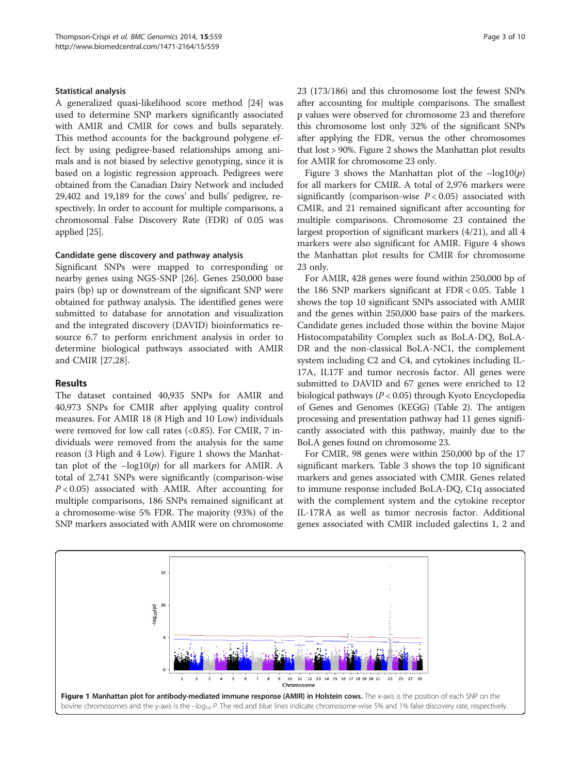#### Statistical analysis

A generalized quasi-likelihood score method [\[24\]](#page-8-0) was used to determine SNP markers significantly associated with AMIR and CMIR for cows and bulls separately. This method accounts for the background polygene effect by using pedigree-based relationships among animals and is not biased by selective genotyping, since it is based on a logistic regression approach. Pedigrees were obtained from the Canadian Dairy Network and included 29,402 and 19,189 for the cows' and bulls' pedigree, respectively. In order to account for multiple comparisons, a chromosomal False Discovery Rate (FDR) of 0.05 was applied [\[25\]](#page-8-0).

#### Candidate gene discovery and pathway analysis

Significant SNPs were mapped to corresponding or nearby genes using NGS-SNP [[26\]](#page-8-0). Genes 250,000 base pairs (bp) up or downstream of the significant SNP were obtained for pathway analysis. The identified genes were submitted to database for annotation and visualization and the integrated discovery (DAVID) bioinformatics resource 6.7 to perform enrichment analysis in order to determine biological pathways associated with AMIR and CMIR [[27,28\]](#page-8-0).

# Results

The dataset contained 40,935 SNPs for AMIR and 40,973 SNPs for CMIR after applying quality control measures. For AMIR 18 (8 High and 10 Low) individuals were removed for low call rates (<0.85). For CMIR, 7 individuals were removed from the analysis for the same reason (3 High and 4 Low). Figure 1 shows the Manhattan plot of the  $-\log 10(p)$  for all markers for AMIR. A total of 2,741 SNPs were significantly (comparison-wise  $P < 0.05$ ) associated with AMIR. After accounting for multiple comparisons, 186 SNPs remained significant at a chromosome-wise 5% FDR. The majority (93%) of the SNP markers associated with AMIR were on chromosome 23 (173/186) and this chromosome lost the fewest SNPs after accounting for multiple comparisons. The smallest p values were observed for chromosome 23 and therefore this chromosome lost only 32% of the significant SNPs after applying the FDR, versus the other chromosomes that lost > 90%. Figure [2](#page-3-0) shows the Manhattan plot results for AMIR for chromosome 23 only.

Figure [3](#page-3-0) shows the Manhattan plot of the  $-\log 10(p)$ for all markers for CMIR. A total of 2,976 markers were significantly (comparison-wise  $P < 0.05$ ) associated with CMIR, and 21 remained significant after accounting for multiple comparisons. Chromosome 23 contained the largest proportion of significant markers (4/21), and all 4 markers were also significant for AMIR. Figure [4](#page-4-0) shows the Manhattan plot results for CMIR for chromosome 23 only.

For AMIR, 428 genes were found within 250,000 bp of the 186 SNP markers significant at FDR < 0.05. Table [1](#page-4-0) shows the top 10 significant SNPs associated with AMIR and the genes within 250,000 base pairs of the markers. Candidate genes included those within the bovine Major Histocompatability Complex such as BoLA-DQ, BoLA-DR and the non-classical BoLA-NC1, the complement system including C2 and C4, and cytokines including IL-17A, IL17F and tumor necrosis factor. All genes were submitted to DAVID and 67 genes were enriched to 12 biological pathways (P < 0.05) through Kyoto Encyclopedia of Genes and Genomes (KEGG) (Table [2](#page-5-0)). The antigen processing and presentation pathway had 11 genes significantly associated with this pathway, mainly due to the BoLA genes found on chromosome 23.

For CMIR, 98 genes were within 250,000 bp of the 17 significant markers. Table [3](#page-5-0) shows the top 10 significant markers and genes associated with CMIR. Genes related to immune response included BoLA-DQ, C1q associated with the complement system and the cytokine receptor IL-17RA as well as tumor necrosis factor. Additional genes associated with CMIR included galectins 1, 2 and

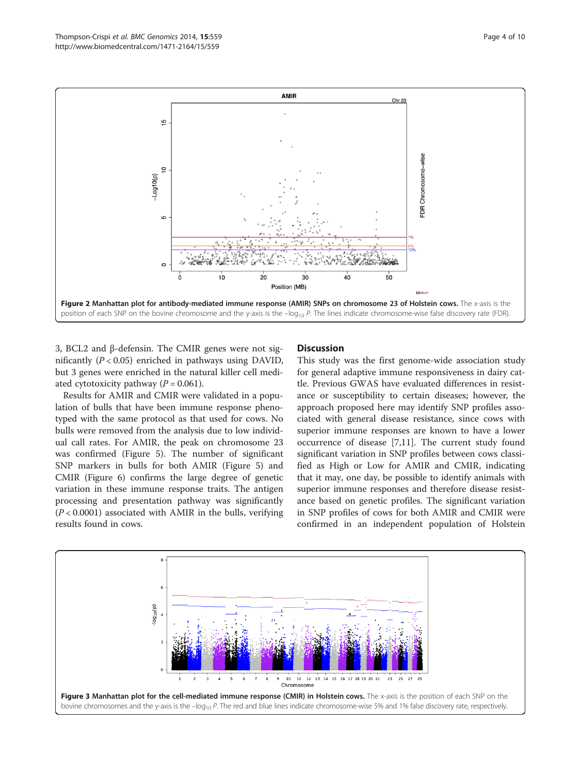<span id="page-3-0"></span>

3, BCL2 and β-defensin. The CMIR genes were not significantly  $(P < 0.05)$  enriched in pathways using DAVID, but 3 genes were enriched in the natural killer cell mediated cytotoxicity pathway  $(P = 0.061)$ .

Results for AMIR and CMIR were validated in a population of bulls that have been immune response phenotyped with the same protocol as that used for cows. No bulls were removed from the analysis due to low individual call rates. For AMIR, the peak on chromosome 23 was confirmed (Figure [5\)](#page-6-0). The number of significant SNP markers in bulls for both AMIR (Figure [5](#page-6-0)) and CMIR (Figure [6](#page-6-0)) confirms the large degree of genetic variation in these immune response traits. The antigen processing and presentation pathway was significantly  $(P < 0.0001)$  associated with AMIR in the bulls, verifying results found in cows.

# **Discussion**

This study was the first genome-wide association study for general adaptive immune responsiveness in dairy cattle. Previous GWAS have evaluated differences in resistance or susceptibility to certain diseases; however, the approach proposed here may identify SNP profiles associated with general disease resistance, since cows with superior immune responses are known to have a lower occurrence of disease [\[7](#page-8-0),[11](#page-8-0)]. The current study found significant variation in SNP profiles between cows classified as High or Low for AMIR and CMIR, indicating that it may, one day, be possible to identify animals with superior immune responses and therefore disease resistance based on genetic profiles. The significant variation in SNP profiles of cows for both AMIR and CMIR were confirmed in an independent population of Holstein

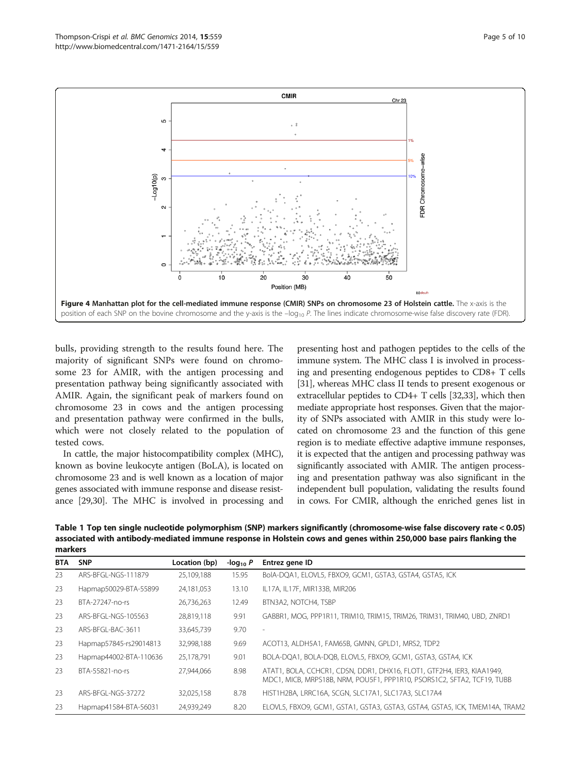<span id="page-4-0"></span>

bulls, providing strength to the results found here. The majority of significant SNPs were found on chromosome 23 for AMIR, with the antigen processing and presentation pathway being significantly associated with AMIR. Again, the significant peak of markers found on chromosome 23 in cows and the antigen processing and presentation pathway were confirmed in the bulls, which were not closely related to the population of tested cows.

In cattle, the major histocompatibility complex (MHC), known as bovine leukocyte antigen (BoLA), is located on chromosome 23 and is well known as a location of major genes associated with immune response and disease resistance [\[29,30\]](#page-8-0). The MHC is involved in processing and

presenting host and pathogen peptides to the cells of the immune system. The MHC class I is involved in processing and presenting endogenous peptides to CD8+ T cells [[31](#page-8-0)], whereas MHC class II tends to present exogenous or extracellular peptides to CD4+ T cells [[32](#page-8-0),[33](#page-8-0)], which then mediate appropriate host responses. Given that the majority of SNPs associated with AMIR in this study were located on chromosome 23 and the function of this gene region is to mediate effective adaptive immune responses, it is expected that the antigen and processing pathway was significantly associated with AMIR. The antigen processing and presentation pathway was also significant in the independent bull population, validating the results found in cows. For CMIR, although the enriched genes list in

Table 1 Top ten single nucleotide polymorphism (SNP) markers significantly (chromosome-wise false discovery rate < 0.05) associated with antibody-mediated immune response in Holstein cows and genes within 250,000 base pairs flanking the markers

| <b>BTA</b> | <b>SNP</b>             | Location (bp) | -log <sub>10</sub> $P$ | Entrez gene ID                                                                                                                                    |
|------------|------------------------|---------------|------------------------|---------------------------------------------------------------------------------------------------------------------------------------------------|
| 23         | ARS-BEGI-NGS-111879    | 25.109.188    | 15.95                  | BolA-DQA1, ELOVL5, FBXO9, GCM1, GSTA3, GSTA4, GSTA5, ICK                                                                                          |
| 23         | Hapmap50029-BTA-55899  | 24,181,053    | 13.10                  | IL17A, IL17F, MIR133B, MIR206                                                                                                                     |
| 23         | BTA-27247-no-rs        | 26,736,263    | 12.49                  | BTN3A2, NOTCH4, TSBP                                                                                                                              |
| 23         | ARS-BEGL-NGS-105563    | 28,819,118    | 9.91                   | GABBR1, MOG, PPP1R11, TRIM10, TRIM15, TRIM26, TRIM31, TRIM40, UBD, ZNRD1                                                                          |
| 23         | ARS-BEGL-BAC-3611      | 33,645,739    | 9.70                   |                                                                                                                                                   |
| 23         | Hapmap57845-rs29014813 | 32,998,188    | 9.69                   | ACOT13, ALDH5A1, FAM65B, GMNN, GPLD1, MRS2, TDP2                                                                                                  |
| 23         | Hapmap44002-BTA-110636 | 25,178,791    | 9.01                   | BOLA-DQA1, BOLA-DQB, ELOVL5, FBXO9, GCM1, GSTA3, GSTA4, ICK                                                                                       |
| 23         | BTA-55821-no-rs        | 27.944.066    | 8.98                   | ATAT1, BOLA, CCHCR1, CDSN, DDR1, DHX16, FLOT1, GTF2H4, IER3, KIAA1949,<br>MDC1, MICB, MRPS18B, NRM, POUSF1, PPP1R10, PSORS1C2, SFTA2, TCF19, TUBB |
| 23         | ARS-BEGI-NGS-37272     | 32,025,158    | 8.78                   | HIST1H2BA, LRRC16A, SCGN, SLC17A1, SLC17A3, SLC17A4                                                                                               |
| 23         | Hapmap41584-BTA-56031  | 24,939,249    | 8.20                   | ELOVL5, FBXO9, GCM1, GSTA1, GSTA3, GSTA3, GSTA4, GSTA5, ICK, TMEM14A, TRAM2                                                                       |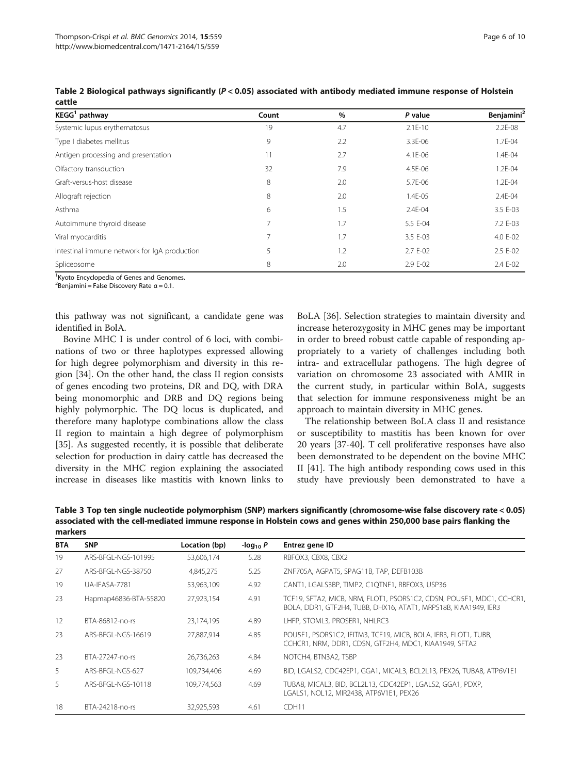| KEGG <sup>1</sup> pathway                    | Count          | $\%$ | P value   | Benjamini <sup>2</sup> |
|----------------------------------------------|----------------|------|-----------|------------------------|
| Systemic lupus erythematosus                 | 19             | 4.7  | $2.1E-10$ | $2.2E - 08$            |
| Type I diabetes mellitus                     | 9              | 2.2  | 3.3E-06   | 1.7E-04                |
| Antigen processing and presentation          | 11             | 2.7  | 4.1E-06   | 1.4E-04                |
| Olfactory transduction                       | 32             | 7.9  | 4.5E-06   | 1.2E-04                |
| Graft-versus-host disease                    | 8              | 2.0  | 5.7E-06   | 1.2E-04                |
| Allograft rejection                          | 8              | 2.0  | 1.4E-05   | 2.4E-04                |
| Asthma                                       | 6              | 1.5  | 2.4E-04   | 3.5 E-03               |
| Autoimmune thyroid disease                   |                | 1.7  | 5.5 E-04  | 7.2 E-03               |
| Viral myocarditis                            | $\overline{7}$ | 1.7  | 3.5 E-03  | 4.0 E-02               |
| Intestinal immune network for IgA production | 5              | 1.2  | 2.7 E-02  | 2.5 E-02               |
| Spliceosome                                  | 8              | 2.0  | 2.9 E-02  | 2.4 E-02               |

<span id="page-5-0"></span>Table 2 Biological pathways significantly (P < 0.05) associated with antibody mediated immune response of Holstein cattle

<sup>1</sup> Kyoto Encyclopedia of Genes and Genomes.

<sup>2</sup>Benjamini = False Discovery Rate  $\alpha$  = 0.1.

this pathway was not significant, a candidate gene was identified in BolA.

Bovine MHC I is under control of 6 loci, with combinations of two or three haplotypes expressed allowing for high degree polymorphism and diversity in this region [[34\]](#page-8-0). On the other hand, the class II region consists of genes encoding two proteins, DR and DQ, with DRA being monomorphic and DRB and DQ regions being highly polymorphic. The DQ locus is duplicated, and therefore many haplotype combinations allow the class II region to maintain a high degree of polymorphism [[35\]](#page-8-0). As suggested recently, it is possible that deliberate selection for production in dairy cattle has decreased the diversity in the MHC region explaining the associated increase in diseases like mastitis with known links to

BoLA [[36\]](#page-8-0). Selection strategies to maintain diversity and increase heterozygosity in MHC genes may be important in order to breed robust cattle capable of responding appropriately to a variety of challenges including both intra- and extracellular pathogens. The high degree of variation on chromosome 23 associated with AMIR in the current study, in particular within BolA, suggests that selection for immune responsiveness might be an approach to maintain diversity in MHC genes.

The relationship between BoLA class II and resistance or susceptibility to mastitis has been known for over 20 years [[37](#page-8-0)[-40\]](#page-9-0). T cell proliferative responses have also been demonstrated to be dependent on the bovine MHC II [\[41\]](#page-9-0). The high antibody responding cows used in this study have previously been demonstrated to have a

Table 3 Top ten single nucleotide polymorphism (SNP) markers significantly (chromosome-wise false discovery rate < 0.05) associated with the cell-mediated immune response in Holstein cows and genes within 250,000 base pairs flanking the markers

| <b>BTA</b> | <b>SNP</b>            | Location (bp) | -log <sub>10</sub> $P$ | Entrez gene ID                                                                                                                           |
|------------|-----------------------|---------------|------------------------|------------------------------------------------------------------------------------------------------------------------------------------|
| 19         | ARS-BEGI-NGS-101995   | 53.606.174    | 5.28                   | RBFOX3, CBX8, CBX2                                                                                                                       |
| 27         | ARS-BFGL-NGS-38750    | 4,845,275     | 5.25                   | ZNF705A, AGPAT5, SPAG11B, TAP, DEFB103B                                                                                                  |
| 19         | UA-IFASA-7781         | 53,963,109    | 4.92                   | CANT1, LGALS3BP, TIMP2, C1QTNF1, RBFOX3, USP36                                                                                           |
| 23         | Hapmap46836-BTA-55820 | 27,923,154    | 4.91                   | TCF19, SFTA2, MICB, NRM, FLOT1, PSORS1C2, CDSN, POU5F1, MDC1, CCHCR1,<br>BOLA, DDR1, GTF2H4, TUBB, DHX16, ATAT1, MRPS18B, KIAA1949, IER3 |
| 12         | BTA-86812-no-rs       | 23,174,195    | 4.89                   | LHFP, STOML3, PROSER1, NHLRC3                                                                                                            |
| 23         | ARS-BEGI-NGS-16619    | 27.887.914    | 4.85                   | POU5F1, PSORS1C2, IFITM3, TCF19, MICB, BOLA, IER3, FLOT1, TUBB,<br>CCHCR1, NRM, DDR1, CDSN, GTF2H4, MDC1, KIAA1949, SFTA2                |
| 23         | BTA-27247-no-rs       | 26,736,263    | 4.84                   | NOTCH4, BTN3A2, TSBP                                                                                                                     |
| 5.         | ARS-BEGI-NGS-627      | 109.734.406   | 4.69                   | BID, LGALS2, CDC42EP1, GGA1, MICAL3, BCL2L13, PEX26, TUBA8, ATP6V1E1                                                                     |
| 5.         | ARS-BEGI-NGS-10118    | 109.774.563   | 4.69                   | TUBA8, MICAL3, BID, BCL2L13, CDC42EP1, LGALS2, GGA1, PDXP,<br>LGALS1, NOL12, MIR2438, ATP6V1E1, PEX26                                    |
| 18         | BTA-24218-no-rs       | 32,925,593    | 4.61                   | CDH <sub>11</sub>                                                                                                                        |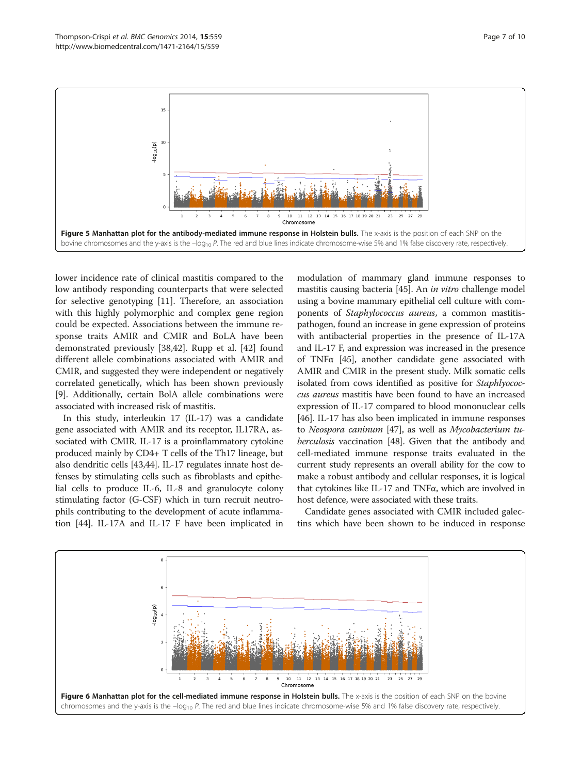<span id="page-6-0"></span>

lower incidence rate of clinical mastitis compared to the low antibody responding counterparts that were selected for selective genotyping [[11](#page-8-0)]. Therefore, an association with this highly polymorphic and complex gene region could be expected. Associations between the immune response traits AMIR and CMIR and BoLA have been demonstrated previously [\[38](#page-8-0)[,42](#page-9-0)]. Rupp et al. [[42\]](#page-9-0) found different allele combinations associated with AMIR and CMIR, and suggested they were independent or negatively correlated genetically, which has been shown previously [[9\]](#page-8-0). Additionally, certain BolA allele combinations were associated with increased risk of mastitis.

In this study, interleukin 17 (IL-17) was a candidate gene associated with AMIR and its receptor, IL17RA, associated with CMIR. IL-17 is a proinflammatory cytokine produced mainly by CD4+ T cells of the Th17 lineage, but also dendritic cells [\[43,44](#page-9-0)]. IL-17 regulates innate host defenses by stimulating cells such as fibroblasts and epithelial cells to produce IL-6, IL-8 and granulocyte colony stimulating factor (G-CSF) which in turn recruit neutrophils contributing to the development of acute inflammation [\[44](#page-9-0)]. IL-17A and IL-17 F have been implicated in

modulation of mammary gland immune responses to mastitis causing bacteria [[45](#page-9-0)]. An in vitro challenge model using a bovine mammary epithelial cell culture with components of Staphylococcus aureus, a common mastitispathogen, found an increase in gene expression of proteins with antibacterial properties in the presence of IL-17A and IL-17 F, and expression was increased in the presence of TNFα [[45](#page-9-0)], another candidate gene associated with AMIR and CMIR in the present study. Milk somatic cells isolated from cows identified as positive for Staphlyococcus aureus mastitis have been found to have an increased expression of IL-17 compared to blood mononuclear cells [[46](#page-9-0)]. IL-17 has also been implicated in immune responses to Neospora caninum [\[47](#page-9-0)], as well as Mycobacterium tuberculosis vaccination [\[48\]](#page-9-0). Given that the antibody and cell-mediated immune response traits evaluated in the current study represents an overall ability for the cow to make a robust antibody and cellular responses, it is logical that cytokines like IL-17 and TNFα, which are involved in host defence, were associated with these traits.

Candidate genes associated with CMIR included galectins which have been shown to be induced in response

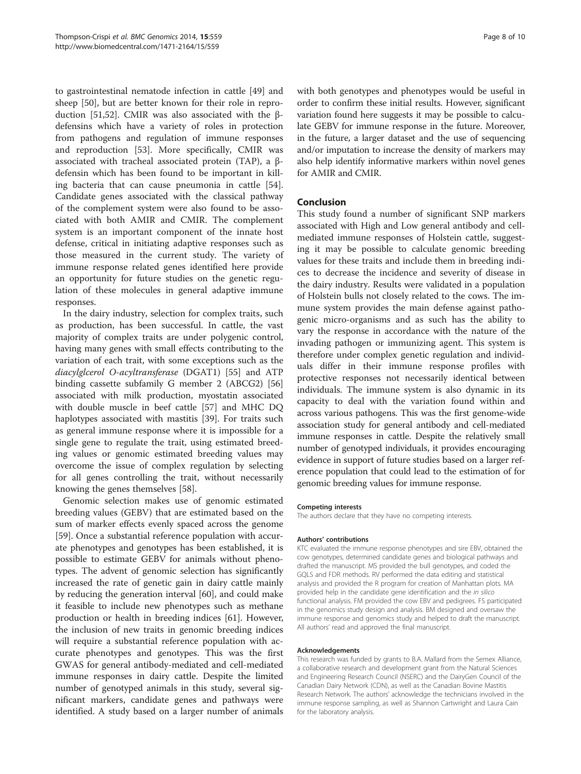to gastrointestinal nematode infection in cattle [[49\]](#page-9-0) and sheep [\[50](#page-9-0)], but are better known for their role in reproduction [[51,52](#page-9-0)]. CMIR was also associated with the βdefensins which have a variety of roles in protection from pathogens and regulation of immune responses and reproduction [[53\]](#page-9-0). More specifically, CMIR was associated with tracheal associated protein (TAP), a βdefensin which has been found to be important in killing bacteria that can cause pneumonia in cattle [\[54](#page-9-0)]. Candidate genes associated with the classical pathway of the complement system were also found to be associated with both AMIR and CMIR. The complement system is an important component of the innate host defense, critical in initiating adaptive responses such as those measured in the current study. The variety of immune response related genes identified here provide an opportunity for future studies on the genetic regulation of these molecules in general adaptive immune responses.

In the dairy industry, selection for complex traits, such as production, has been successful. In cattle, the vast majority of complex traits are under polygenic control, having many genes with small effects contributing to the variation of each trait, with some exceptions such as the diacylglcerol O-acyltransferase (DGAT1) [\[55](#page-9-0)] and ATP binding cassette subfamily G member 2 (ABCG2) [[56](#page-9-0)] associated with milk production, myostatin associated with double muscle in beef cattle [[57\]](#page-9-0) and MHC DQ haplotypes associated with mastitis [\[39\]](#page-9-0). For traits such as general immune response where it is impossible for a single gene to regulate the trait, using estimated breeding values or genomic estimated breeding values may overcome the issue of complex regulation by selecting for all genes controlling the trait, without necessarily knowing the genes themselves [[58](#page-9-0)].

Genomic selection makes use of genomic estimated breeding values (GEBV) that are estimated based on the sum of marker effects evenly spaced across the genome [[59\]](#page-9-0). Once a substantial reference population with accurate phenotypes and genotypes has been established, it is possible to estimate GEBV for animals without phenotypes. The advent of genomic selection has significantly increased the rate of genetic gain in dairy cattle mainly by reducing the generation interval [[60\]](#page-9-0), and could make it feasible to include new phenotypes such as methane production or health in breeding indices [[61](#page-9-0)]. However, the inclusion of new traits in genomic breeding indices will require a substantial reference population with accurate phenotypes and genotypes. This was the first GWAS for general antibody-mediated and cell-mediated immune responses in dairy cattle. Despite the limited number of genotyped animals in this study, several significant markers, candidate genes and pathways were identified. A study based on a larger number of animals

with both genotypes and phenotypes would be useful in order to confirm these initial results. However, significant variation found here suggests it may be possible to calculate GEBV for immune response in the future. Moreover, in the future, a larger dataset and the use of sequencing and/or imputation to increase the density of markers may also help identify informative markers within novel genes for AMIR and CMIR.

# Conclusion

This study found a number of significant SNP markers associated with High and Low general antibody and cellmediated immune responses of Holstein cattle, suggesting it may be possible to calculate genomic breeding values for these traits and include them in breeding indices to decrease the incidence and severity of disease in the dairy industry. Results were validated in a population of Holstein bulls not closely related to the cows. The immune system provides the main defense against pathogenic micro-organisms and as such has the ability to vary the response in accordance with the nature of the invading pathogen or immunizing agent. This system is therefore under complex genetic regulation and individuals differ in their immune response profiles with protective responses not necessarily identical between individuals. The immune system is also dynamic in its capacity to deal with the variation found within and across various pathogens. This was the first genome-wide association study for general antibody and cell-mediated immune responses in cattle. Despite the relatively small number of genotyped individuals, it provides encouraging evidence in support of future studies based on a larger reference population that could lead to the estimation of for genomic breeding values for immune response.

#### Competing interests

The authors declare that they have no competing interests.

#### Authors' contributions

KTC evaluated the immune response phenotypes and sire EBV, obtained the cow genotypes, determined candidate genes and biological pathways and drafted the manuscript. MS provided the bull genotypes, and coded the GQLS and FDR methods. RV performed the data editing and statistical analysis and provided the R program for creation of Manhattan plots. MA provided help in the candidate gene identification and the in silico functional analysis. FM provided the cow EBV and pedigrees. FS participated in the genomics study design and analysis. BM designed and oversaw the immune response and genomics study and helped to draft the manuscript. All authors' read and approved the final manuscript.

#### Acknowledgements

This research was funded by grants to B.A. Mallard from the Semex Alliance, a collaborative research and development grant from the Natural Sciences and Engineering Research Council (NSERC) and the DairyGen Council of the Canadian Dairy Network (CDN), as well as the Canadian Bovine Mastitis Research Network. The authors' acknowledge the technicians involved in the immune response sampling, as well as Shannon Cartwright and Laura Cain for the laboratory analysis.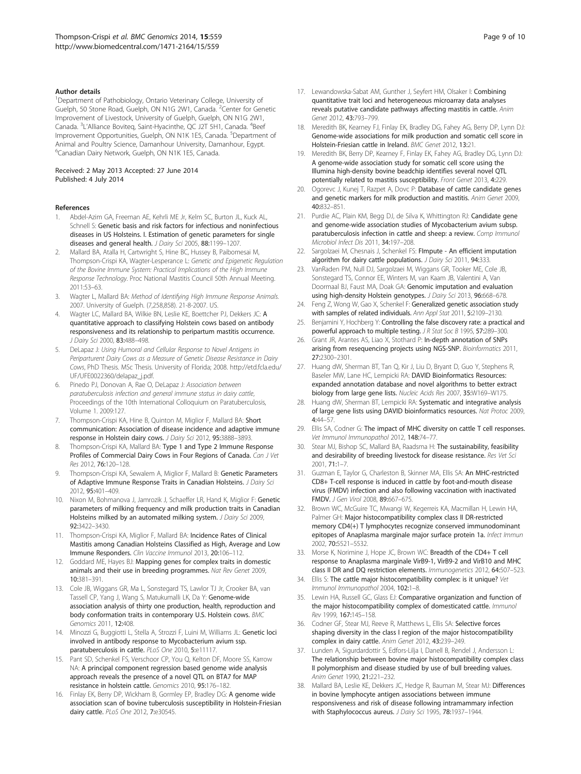#### <span id="page-8-0"></span>Author details

<sup>1</sup>Department of Pathobiology, Ontario Veterinary College, University of Guelph, 50 Stone Road, Guelph, ON N1G 2W1, Canada. <sup>2</sup>Center for Genetic Improvement of Livestock, University of Guelph, Guelph, ON N1G 2W1, Canada. <sup>3</sup>L'Alliance Boviteq, Saint-Hyacinthe, QC J2T 5H1, Canada. <sup>4</sup>Beef Improvement Opportunities, Guelph, ON N1K 1E5, Canada. <sup>5</sup>Department of Animal and Poultry Science, Damanhour University, Damanhour, Egypt. 6 Canadian Dairy Network, Guelph, ON N1K 1E5, Canada.

#### Received: 2 May 2013 Accepted: 27 June 2014 Published: 4 July 2014

#### References

- 1. Abdel-Azim GA, Freeman AE, Kehrli ME Jr, Kelm SC, Burton JL, Kuck AL, Schnell S: Genetic basis and risk factors for infectious and noninfectious diseases in US Holsteins. I. Estimation of genetic parameters for single diseases and general health. J Dairy Sci 2005, 88:1199-1207.
- 2. Mallard BA, Atalla H, Cartwright S, Hine BC, Hussey B, Paibomesai M, Thompson-Crispi KA, Wagter-Lesperance L: Genetic and Epigenetic Regulation of the Bovine Immune System: Practical Implications of the High Immune Response Technology. Proc National Mastitis Council 50th Annual Meeting. 2011:53–63.
- Wagter L, Mallard BA: Method of Identifying High Immune Response Animals. 2007. University of Guelph. (7,258,858). 21-8-2007. US.
- 4. Wagter LC, Mallard BA, Wilkie BN, Leslie KE, Boettcher PJ, Dekkers JC: A quantitative approach to classifying Holstein cows based on antibody responsiveness and its relationship to peripartum mastitis occurrence. J Dairy Sci 2000, 83:488–498.
- 5. DeLapaz J: Using Humoral and Cellular Response to Novel Antigens in Periparturent Dairy Cows as a Measure of Genetic Disease Resistance in Dairy Cows, PhD Thesis. MSc Thesis. University of Florida; 2008. [http://etd.fcla.edu/](http://etd.fcla.edu/UF/UFE0022360/delapaz_j.pdf) [UF/UFE0022360/delapaz\\_j.pdf.](http://etd.fcla.edu/UF/UFE0022360/delapaz_j.pdf)
- 6. Pinedo PJ, Donovan A, Rae O, DeLapaz J: Association between paratuberculosis infection and general immune status in dairy cattle, Proceedings of the 10th International Colloquium on Paratuberculosis, Volume 1. 2009:127.
- Thompson-Crispi KA, Hine B, Quinton M, Miglior F, Mallard BA: Short communication: Association of disease incidence and adaptive immune response in Holstein dairy cows. J Dairy Sci 2012, 95:3888-3893.
- 8. Thompson-Crispi KA, Mallard BA: Type 1 and Type 2 Immune Response Profiles of Commercial Dairy Cows in Four Regions of Canada. Can J Vet Res 2012, 76:120–128.
- 9. Thompson-Crispi KA, Sewalem A, Miglior F, Mallard B: Genetic Parameters of Adaptive Immune Response Traits in Canadian Holsteins. J Dairy Sci 2012, 95:401–409.
- 10. Nixon M, Bohmanova J, Jamrozik J, Schaeffer LR, Hand K, Miglior F: Genetic parameters of milking frequency and milk production traits in Canadian Holsteins milked by an automated milking system. J Dairy Sci 2009, 92:3422–3430.
- 11. Thompson-Crispi KA, Miglior F, Mallard BA: Incidence Rates of Clinical Mastitis among Canadian Holsteins Classified as High, Average and Low Immune Responders. Clin Vaccine Immunol 2013, 20:106–112.
- 12. Goddard ME, Hayes BJ: Mapping genes for complex traits in domestic animals and their use in breeding programmes. Nat Rev Genet 2009, 10:381–391.
- 13. Cole JB, Wiggans GR, Ma L, Sonstegard TS, Lawlor TJ Jr, Crooker BA, van Tassell CP, Yang J, Wang S, Matukumalli LK, Da Y: Genome-wide association analysis of thirty one production, health, reproduction and body conformation traits in contemporary U.S. Holstein cows. BMC Genomics 2011, 12:408.
- 14. Minozzi G, Buggiotti L, Stella A, Strozzi F, Luini M, Williams JL: Genetic loci involved in antibody response to Mycobacterium avium ssp. paratuberculosis in cattle. PLoS One 2010, 5:e11117.
- 15. Pant SD, Schenkel FS, Verschoor CP, You Q, Kelton DF, Moore SS, Karrow NA: A principal component regression based genome wide analysis approach reveals the presence of a novel QTL on BTA7 for MAP resistance in holstein cattle. Genomics 2010, 95:176–182.
- 16. Finlay EK, Berry DP, Wickham B, Gormley EP, Bradley DG: A genome wide association scan of bovine tuberculosis susceptibility in Holstein-Friesian dairy cattle. PLoS One 2012, 7:e30545.
- 17. Lewandowska-Sabat AM, Gunther J, Seyfert HM, Olsaker I: Combining quantitative trait loci and heterogeneous microarray data analyses reveals putative candidate pathways affecting mastitis in cattle. Anim Genet 2012, 43:793–799.
- 18. Meredith BK, Kearney FJ, Finlay EK, Bradley DG, Fahey AG, Berry DP, Lynn DJ: Genome-wide associations for milk production and somatic cell score in Holstein-Friesian cattle in Ireland. BMC Genet 2012, 13:21.
- 19. Meredith BK, Berry DP, Kearney F, Finlay EK, Fahey AG, Bradley DG, Lynn DJ: A genome-wide association study for somatic cell score using the Illumina high-density bovine beadchip identifies several novel QTL potentially related to mastitis susceptibility. Front Genet 2013, 4:229.
- 20. Ogorevc J, Kunej T, Razpet A, Dovc P: Database of cattle candidate genes and genetic markers for milk production and mastitis. Anim Genet 2009, 40:832–851.
- 21. Purdie AC, Plain KM, Begg DJ, de Silva K, Whittington RJ: Candidate gene and genome-wide association studies of Mycobacterium avium subsp. paratuberculosis infection in cattle and sheep: a review. Comp Immunol Microbiol Infect Dis 2011, 34:197-208.
- 22. Sargolzaei M, Chesnais J, Schenkel FS: Flmpute An efficient imputation algorithm for dairy cattle populations. J Dairy Sci 2011, 94:333.
- 23. VanRaden PM, Null DJ, Sargolzaei M, Wiggans GR, Tooker ME, Cole JB, Sonstegard TS, Connor EE, Winters M, van Kaam JB, Valentini A, Van Doormaal BJ, Faust MA, Doak GA: Genomic imputation and evaluation using high-density Holstein genotypes. J Dairy Sci 2013, 96:668-678.
- 24. Feng Z, Wong W, Gao X, Schenkel F: Generalized genetic association study with samples of related individuals. Ann Appl Stat 2011, 5:2109–2130.
- 25. Benjamini Y, Hochberg Y: Controlling the false discovery rate: a practical and powerful approach to multiple testing. J R Stat Soc B 1995, 57:289-300.
- 26. Grant JR, Arantes AS, Liao X, Stothard P: In-depth annotation of SNPs arising from resequencing projects using NGS-SNP. Bioinformatics 2011, 27:2300–2301.
- 27. Huang dW, Sherman BT, Tan Q, Kir J, Liu D, Bryant D, Guo Y, Stephens R, Baseler MW, Lane HC, Lempicki RA: DAVID Bioinformatics Resources: expanded annotation database and novel algorithms to better extract biology from large gene lists. Nucleic Acids Res 2007, 35:W169–W175.
- 28. Huang dW, Sherman BT, Lempicki RA: Systematic and integrative analysis of large gene lists using DAVID bioinformatics resources. Nat Protoc 2009, 4:44–57.
- 29. Ellis SA, Codner G: The impact of MHC diversity on cattle T cell responses. Vet Immunol Immunopathol 2012, 148:74–77.
- 30. Stear MJ, Bishop SC, Mallard BA, Raadsma H: The sustainability, feasibility and desirability of breeding livestock for disease resistance. Res Vet Sci 2001, 71:1–7.
- 31. Guzman E, Taylor G, Charleston B, Skinner MA, Ellis SA: An MHC-restricted CD8+ T-cell response is induced in cattle by foot-and-mouth disease virus (FMDV) infection and also following vaccination with inactivated FMDV. J Gen Virol 2008, 89:667–675.
- 32. Brown WC, McGuire TC, Mwangi W, Kegerreis KA, Macmillan H, Lewin HA, Palmer GH: Major histocompatibility complex class II DR-restricted memory CD4(+) T lymphocytes recognize conserved immunodominant epitopes of Anaplasma marginale major surface protein 1a. Infect Immun 2002, 70:5521–5532.
- 33. Morse K, Norimine J, Hope JC, Brown WC: Breadth of the CD4+ T cell response to Anaplasma marginale VirB9-1, VirB9-2 and VirB10 and MHC class II DR and DQ restriction elements. Immunogenetics 2012, 64:507–523.
- 34. Ellis S: The cattle major histocompatibility complex: is it unique? Vet Immunol Immunopathol 2004, 102:1–8.
- 35. Lewin HA, Russell GC, Glass EJ: Comparative organization and function of the major histocompatibility complex of domesticated cattle. Immunol Rev 1999, 167:145–158.
- 36. Codner GF, Stear MJ, Reeve R, Matthews L, Ellis SA: Selective forces shaping diversity in the class I region of the major histocompatibility complex in dairy cattle. Anim Genet 2012, 43:239–249.
- 37. Lunden A, Sigurdardottir S, Edfors-Lilja I, Danell B, Rendel J, Andersson L: The relationship between bovine major histocompatibility complex class II polymorphism and disease studied by use of bull breeding values. Anim Genet 1990, 21:221–232.
- Mallard BA, Leslie KE, Dekkers JC, Hedge R, Bauman M, Stear MJ: Differences in bovine lymphocyte antigen associations between immune responsiveness and risk of disease following intramammary infection with Staphylococcus aureus. J Dairy Sci 1995, 78:1937-1944.